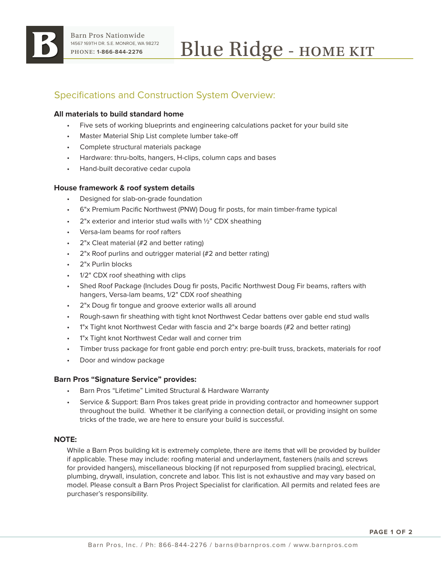

# Specifications and Construction System Overview:

## **All materials to build standard home**

- Five sets of working blueprints and engineering calculations packet for your build site
- Master Material Ship List complete lumber take-off
- Complete structural materials package
- Hardware: thru-bolts, hangers, H-clips, column caps and bases
- Hand-built decorative cedar cupola

## **House framework & roof system details**

- Designed for slab-on-grade foundation
- 6"x Premium Pacific Northwest (PNW) Doug fir posts, for main timber-frame typical
- $2"x$  exterior and interior stud walls with  $\frac{1}{2}$ " CDX sheathing
- Versa-lam beams for roof rafters
- 2"x Cleat material (#2 and better rating)
- 2"x Roof purlins and outrigger material (#2 and better rating)
- 2"x Purlin blocks
- 1/2" CDX roof sheathing with clips
- Shed Roof Package (Includes Doug fir posts, Pacific Northwest Doug Fir beams, rafters with hangers, Versa-lam beams, 1/2" CDX roof sheathing
- 2"x Doug fir tongue and groove exterior walls all around
- Rough-sawn fir sheathing with tight knot Northwest Cedar battens over gable end stud walls
- 1"x Tight knot Northwest Cedar with fascia and 2"x barge boards (#2 and better rating)
- 1"x Tight knot Northwest Cedar wall and corner trim
- Timber truss package for front gable end porch entry: pre-built truss, brackets, materials for roof
- Door and window package

### **Barn Pros "Signature Service" provides:**

- Barn Pros "Lifetime" Limited Structural & Hardware Warranty
- Service & Support: Barn Pros takes great pride in providing contractor and homeowner support throughout the build. Whether it be clarifying a connection detail, or providing insight on some tricks of the trade, we are here to ensure your build is successful.

### **NOTE:**

While a Barn Pros building kit is extremely complete, there are items that will be provided by builder if applicable. These may include: roofing material and underlayment, fasteners (nails and screws for provided hangers), miscellaneous blocking (if not repurposed from supplied bracing), electrical, plumbing, drywall, insulation, concrete and labor. This list is not exhaustive and may vary based on model. Please consult a Barn Pros Project Specialist for clarification. All permits and related fees are purchaser's responsibility.